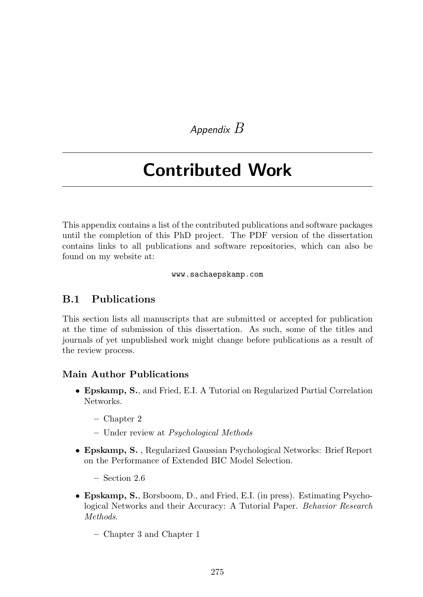*Appendix B*

# Contributed Work

This appendix contains a list of the contributed publications and software packages until the completion of this PhD project. The PDF version of the dissertation contains links to all publications and software repositories, which can also be found on my website at:

#### www.sachaepskamp.com

#### B.1 Publications

This section lists all manuscripts that are submitted or accepted for publication at the time of submission of this dissertation. As such, some of the titles and journals of yet unpublished work might change before publications as a result of the review process.

#### Main Author Publications

- Epskamp, S., and Fried, E.I. A Tutorial on Regularized Partial Correlation Networks.
	- Chapter 2
	- Under review at *Psychological Methods*
- Epskamp, S. , Regularized Gaussian Psychological Networks: Brief Report on the Performance of Extended BIC Model Selection.
	- Section 2.6
- Epskamp, S., Borsboom, D., and Fried, E.I. (in press). Estimating Psychological Networks and their Accuracy: A Tutorial Paper. *Behavior Research Methods*.
	- Chapter 3 and Chapter 1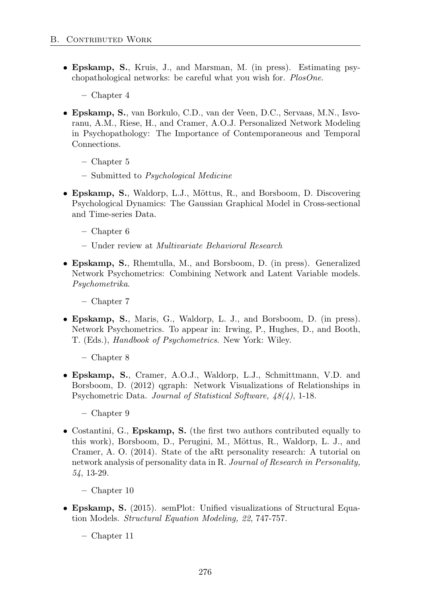- Epskamp, S., Kruis, J., and Marsman, M. (in press). Estimating psychopathological networks: be careful what you wish for. *PlosOne*.
	- Chapter 4
- Epskamp, S., van Borkulo, C.D., van der Veen, D.C., Servaas, M.N., Isvoranu, A.M., Riese, H., and Cramer, A.O.J. Personalized Network Modeling in Psychopathology: The Importance of Contemporaneous and Temporal Connections.
	- Chapter 5
	- Submitted to *Psychological Medicine*
- Epskamp, S., Waldorp, L.J., Mõttus, R., and Borsboom, D. Discovering Psychological Dynamics: The Gaussian Graphical Model in Cross-sectional and Time-series Data.
	- Chapter 6
	- Under review at *Multivariate Behavioral Research*
- Epskamp, S., Rhemtulla, M., and Borsboom, D. (in press). Generalized Network Psychometrics: Combining Network and Latent Variable models. *Psychometrika*.
	- Chapter 7
- Epskamp, S., Maris, G., Waldorp, L. J., and Borsboom, D. (in press). Network Psychometrics. To appear in: Irwing, P., Hughes, D., and Booth, T. (Eds.), *Handbook of Psychometrics*. New York: Wiley.
	- Chapter 8
- Epskamp, S., Cramer, A.O.J., Waldorp, L.J., Schmittmann, V.D. and Borsboom, D. (2012) qgraph: Network Visualizations of Relationships in Psychometric Data. *Journal of Statistical Software, 48(4)*, 1-18.
	- Chapter 9
- Costantini, G., Epskamp, S. (the first two authors contributed equally to this work), Borsboom, D., Perugini, M., Möttus, R., Waldorp, L. J., and Cramer, A. O. (2014). State of the aRt personality research: A tutorial on network analysis of personality data in R. *Journal of Research in Personality, 54*, 13-29.
	- Chapter 10
- Epskamp, S. (2015). semPlot: Unified visualizations of Structural Equation Models. *Structural Equation Modeling, 22*, 747-757.
	- Chapter 11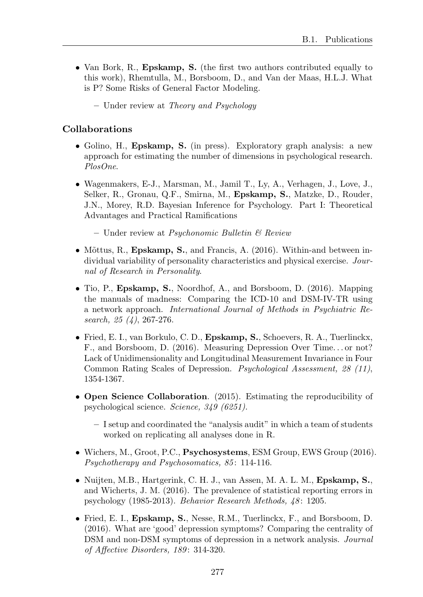- Van Bork, R., Epskamp, S. (the first two authors contributed equally to this work), Rhemtulla, M., Borsboom, D., and Van der Maas, H.L.J. What is P? Some Risks of General Factor Modeling.
	- Under review at *Theory and Psychology*

#### Collaborations

- Golino, H., Epskamp, S. (in press). Exploratory graph analysis: a new approach for estimating the number of dimensions in psychological research. *PlosOne*.
- Wagenmakers, E-J., Marsman, M., Jamil T., Ly, A., Verhagen, J., Love, J., Selker, R., Gronau, Q.F., Smirna, M., Epskamp, S., Matzke, D., Rouder, J.N., Morey, R.D. Bayesian Inference for Psychology. Part I: Theoretical Advantages and Practical Ramifications
	- Under review at *Psychonomic Bulletin & Review*
- Mõttus, R., Epskamp, S., and Francis, A.  $(2016)$ . Within-and between individual variability of personality characteristics and physical exercise. *Journal of Research in Personality*.
- Tio, P., Epskamp, S., Noordhof, A., and Borsboom, D. (2016). Mapping the manuals of madness: Comparing the ICD-10 and DSM-IV-TR using a network approach. *International Journal of Methods in Psychiatric Research, 25 (4)*, 267-276.
- Fried, E. I., van Borkulo, C. D., Epskamp, S., Schoevers, R. A., Tuerlinckx, F., and Borsboom, D. (2016). Measuring Depression Over Time. . . or not? Lack of Unidimensionality and Longitudinal Measurement Invariance in Four Common Rating Scales of Depression. *Psychological Assessment, 28 (11)*, 1354-1367.
- Open Science Collaboration. (2015). Estimating the reproducibility of psychological science. *Science, 349 (6251)*.
	- I setup and coordinated the "analysis audit" in which a team of students worked on replicating all analyses done in R.
- Wichers, M., Groot, P.C., Psychosystems, ESM Group, EWS Group (2016). *Psychotherapy and Psychosomatics, 85* : 114-116.
- Nuijten, M.B., Hartgerink, C. H. J., van Assen, M. A. L. M., Epskamp, S., and Wicherts, J. M. (2016). The prevalence of statistical reporting errors in psychology (1985-2013). *Behavior Research Methods, 48* : 1205.
- Fried, E. I., Epskamp, S., Nesse, R.M., Tuerlinckx, F., and Borsboom, D. (2016). What are 'good' depression symptoms? Comparing the centrality of DSM and non-DSM symptoms of depression in a network analysis. *Journal of A↵ective Disorders, 189* : 314-320.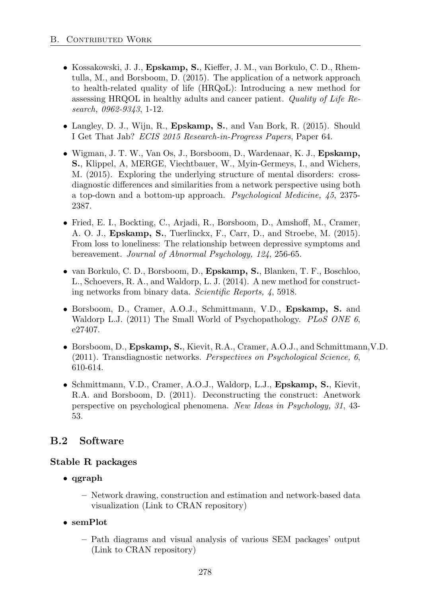- Kossakowski, J. J.,  $E$ pskamp, S., Kieffer, J. M., van Borkulo, C. D., Rhemtulla, M., and Borsboom, D. (2015). The application of a network approach to health-related quality of life (HRQoL): Introducing a new method for assessing HRQOL in healthy adults and cancer patient. *Quality of Life Research, 0962-9343*, 1-12.
- Langley, D. J., Wijn, R., Epskamp, S., and Van Bork, R. (2015). Should I Get That Jab? *ECIS 2015 Research-in-Progress Papers*, Paper 64.
- Wigman, J. T. W., Van Os, J., Borsboom, D., Wardenaar, K. J., Epskamp, S., Klippel, A, MERGE, Viechtbauer, W., Myin-Germeys, I., and Wichers, M. (2015). Exploring the underlying structure of mental disorders: crossdiagnostic differences and similarities from a network perspective using both a top-down and a bottom-up approach. *Psychological Medicine, 45*, 2375- 2387.
- Fried, E. I., Bockting, C., Arjadi, R., Borsboom, D., Amshoff, M., Cramer, A. O. J., Epskamp, S., Tuerlinckx, F., Carr, D., and Stroebe, M. (2015). From loss to loneliness: The relationship between depressive symptoms and bereavement. *Journal of Abnormal Psychology, 124*, 256-65.
- van Borkulo, C. D., Borsboom, D., Epskamp, S., Blanken, T. F., Boschloo, L., Schoevers, R. A., and Waldorp, L. J. (2014). A new method for constructing networks from binary data. *Scientific Reports, 4*, 5918.
- Borsboom, D., Cramer, A.O.J., Schmittmann, V.D., Epskamp, S. and Waldorp L.J. (2011) The Small World of Psychopathology. *PLoS ONE 6*, e27407.
- Borsboom, D., Epskamp, S., Kievit, R.A., Cramer, A.O.J., and Schmittmann,V.D. (2011). Transdiagnostic networks. *Perspectives on Psychological Science, 6*, 610-614.
- Schmittmann, V.D., Cramer, A.O.J., Waldorp, L.J., Epskamp, S., Kievit, R.A. and Borsboom, D. (2011). Deconstructing the construct: Anetwork perspective on psychological phenomena. *New Ideas in Psychology, 31*, 43- 53.

## B.2 Software

### Stable R packages

- qgraph
	- Network drawing, construction and estimation and network-based data visualization (Link to CRAN repository)
- semPlot
	- Path diagrams and visual analysis of various SEM packages' output (Link to CRAN repository)